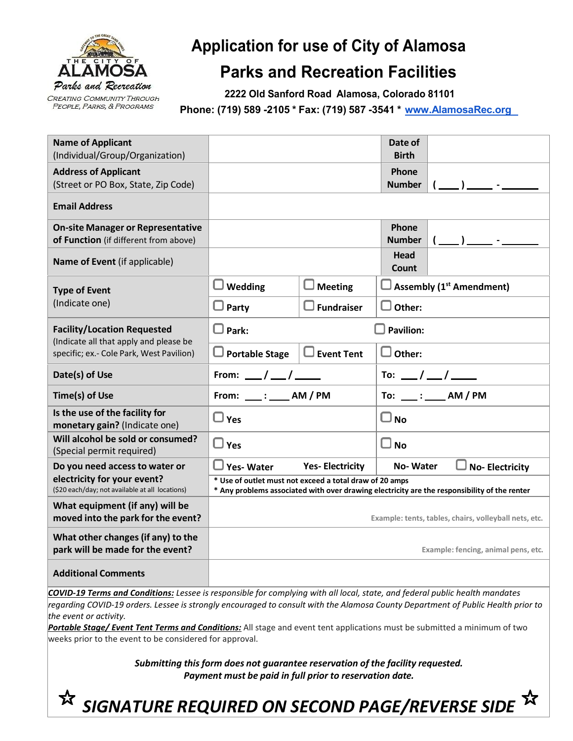

## **Application for use of City of Alamosa**

## **Parks and Recreation Facilities**

**2222 Old Sanford Road Alamosa, Colorado 81101**

**Phone: (719) 589 -2105 \* Fax: (719) 587 -3541 \* [www.AlamosaRec.org](http://www.alamosarec.org/)**

| <b>Name of Applicant</b><br>(Individual/Group/Organization)                                                              |                                                                                                                                                         |                        | Date of<br><b>Birth</b>  |                                 |
|--------------------------------------------------------------------------------------------------------------------------|---------------------------------------------------------------------------------------------------------------------------------------------------------|------------------------|--------------------------|---------------------------------|
| <b>Address of Applicant</b><br>(Street or PO Box, State, Zip Code)                                                       |                                                                                                                                                         |                        | Phone<br><b>Number</b>   | $-1$ $ -$                       |
| <b>Email Address</b>                                                                                                     |                                                                                                                                                         |                        |                          |                                 |
| <b>On-site Manager or Representative</b><br>of Function (if different from above)                                        |                                                                                                                                                         |                        | Phone<br><b>Number</b>   |                                 |
| Name of Event (if applicable)                                                                                            |                                                                                                                                                         |                        | <b>Head</b><br>Count     |                                 |
| <b>Type of Event</b><br>(Indicate one)                                                                                   | Wedding                                                                                                                                                 | Meeting                |                          | <b>Assembly (1st Amendment)</b> |
|                                                                                                                          | Party                                                                                                                                                   | $\Box$ Fundraiser      | Other:                   |                                 |
| <b>Facility/Location Requested</b><br>(Indicate all that apply and please be<br>specific; ex.- Cole Park, West Pavilion) | Park:                                                                                                                                                   |                        | <b>Pavilion:</b>         |                                 |
|                                                                                                                          | <b>Portable Stage</b>                                                                                                                                   | $\Box$ Event Tent      | Other:                   |                                 |
| Date(s) of Use                                                                                                           | From: $\frac{\ }{\ }$ / $\frac{\ }{\ }$ / $\frac{\ }{\ }$                                                                                               |                        |                          | To: __/ __/ ___                 |
| Time(s) of Use                                                                                                           |                                                                                                                                                         |                        | To: ____ : _____ AM / PM |                                 |
| Is the use of the facility for<br>monetary gain? (Indicate one)                                                          | $\Box$ Yes                                                                                                                                              |                        | $\square$ No             |                                 |
| Will alcohol be sold or consumed?<br>(Special permit required)                                                           | $\Box$<br>Yes                                                                                                                                           |                        | О<br><b>No</b>           |                                 |
| Do you need access to water or<br>electricity for your event?<br>(\$20 each/day; not available at all locations)         | <b>Yes-Water</b>                                                                                                                                        | <b>Yes-Electricity</b> | <b>No-Water</b>          | <b>No-Electricity</b>           |
|                                                                                                                          | * Use of outlet must not exceed a total draw of 20 amps<br>* Any problems associated with over drawing electricity are the responsibility of the renter |                        |                          |                                 |
| What equipment (if any) will be<br>moved into the park for the event?                                                    | Example: tents, tables, chairs, volleyball nets, etc.                                                                                                   |                        |                          |                                 |
| What other changes (if any) to the<br>park will be made for the event?                                                   | Example: fencing, animal pens, etc.                                                                                                                     |                        |                          |                                 |
| <b>Additional Comments</b>                                                                                               |                                                                                                                                                         |                        |                          |                                 |

*COVID-19 Terms and Conditions: Lessee is responsible for complying with all local, state, and federal public health mandates* regarding COVID-19 orders. Lessee is strongly encouraged to consult with the Alamosa County Department of Public Health prior to *the event or activity.*

*Portable Stage/ Event Tent Terms and Conditions:* All stage and event tent applications must be submitted a minimum of two weeks prior to the event to be considered for approval.

> *Submitting this form does not guarantee reservation of the facility requested. Payment must be paid in full prior to reservation date.*

*SIGNATURE REQUIRED ON SECOND PAGE/REVERSE SIDE*